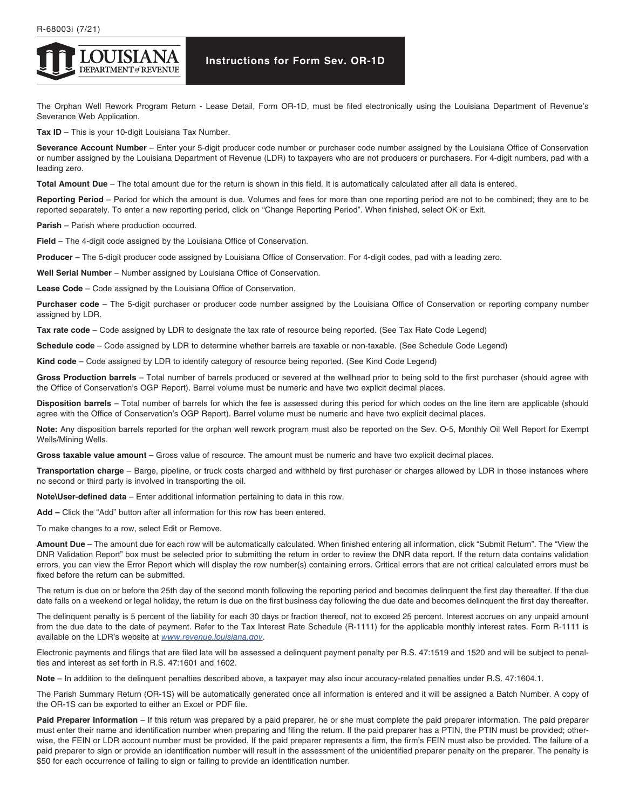

## **Instructions for Form Sev. OR-1D**

The Orphan Well Rework Program Return - Lease Detail, Form OR-1D, must be filed electronically using the Louisiana Department of Revenue's Severance Web Application.

**Tax ID** – This is your 10-digit Louisiana Tax Number.

**Severance Account Number** – Enter your 5-digit producer code number or purchaser code number assigned by the Louisiana Office of Conservation or number assigned by the Louisiana Department of Revenue (LDR) to taxpayers who are not producers or purchasers. For 4-digit numbers, pad with a leading zero.

**Total Amount Due** – The total amount due for the return is shown in this field. It is automatically calculated after all data is entered.

**Reporting Period** – Period for which the amount is due. Volumes and fees for more than one reporting period are not to be combined; they are to be reported separately. To enter a new reporting period, click on "Change Reporting Period". When finished, select OK or Exit.

**Parish** – Parish where production occurred.

**Field** – The 4-digit code assigned by the Louisiana Office of Conservation.

**Producer** – The 5-digit producer code assigned by Louisiana Office of Conservation. For 4-digit codes, pad with a leading zero.

**Well Serial Number** – Number assigned by Louisiana Office of Conservation.

**Lease Code** – Code assigned by the Louisiana Office of Conservation.

**Purchaser code** – The 5-digit purchaser or producer code number assigned by the Louisiana Office of Conservation or reporting company number assigned by LDR.

**Tax rate code** – Code assigned by LDR to designate the tax rate of resource being reported. (See Tax Rate Code Legend)

**Schedule code** – Code assigned by LDR to determine whether barrels are taxable or non-taxable. (See Schedule Code Legend)

**Kind code** – Code assigned by LDR to identify category of resource being reported. (See Kind Code Legend)

**Gross Production barrels** – Total number of barrels produced or severed at the wellhead prior to being sold to the first purchaser (should agree with the Office of Conservation's OGP Report). Barrel volume must be numeric and have two explicit decimal places.

**Disposition barrels** – Total number of barrels for which the fee is assessed during this period for which codes on the line item are applicable (should agree with the Office of Conservation's OGP Report). Barrel volume must be numeric and have two explicit decimal places.

**Note:** Any disposition barrels reported for the orphan well rework program must also be reported on the Sev. O-5, Monthly Oil Well Report for Exempt Wells/Mining Wells.

**Gross taxable value amount** – Gross value of resource. The amount must be numeric and have two explicit decimal places.

**Transportation charge** – Barge, pipeline, or truck costs charged and withheld by first purchaser or charges allowed by LDR in those instances where no second or third party is involved in transporting the oil.

**Note\User-defined data** – Enter additional information pertaining to data in this row.

**Add –** Click the "Add" button after all information for this row has been entered.

To make changes to a row, select Edit or Remove.

**Amount Due** – The amount due for each row will be automatically calculated. When finished entering all information, click "Submit Return". The "View the DNR Validation Report" box must be selected prior to submitting the return in order to review the DNR data report. If the return data contains validation errors, you can view the Error Report which will display the row number(s) containing errors. Critical errors that are not critical calculated errors must be fixed before the return can be submitted.

The return is due on or before the 25th day of the second month following the reporting period and becomes delinquent the first day thereafter. If the due date falls on a weekend or legal holiday, the return is due on the first business day following the due date and becomes delinquent the first day thereafter.

The delinquent penalty is 5 percent of the liability for each 30 days or fraction thereof, not to exceed 25 percent. Interest accrues on any unpaid amount from the due date to the date of payment. Refer to the Tax Interest Rate Schedule (R-1111) for the applicable monthly interest rates. Form R-1111 is available on the LDR's website at *[www.revenue.louisiana.gov](mailto:www.revenue.louisiana.gov?subject=)*.

Electronic payments and filings that are filed late will be assessed a delinquent payment penalty per R.S. 47:1519 and 1520 and will be subject to penalties and interest as set forth in R.S. 47:1601 and 1602.

**Note** – In addition to the delinquent penalties described above, a taxpayer may also incur accuracy-related penalties under R.S. 47:1604.1.

The Parish Summary Return (OR-1S) will be automatically generated once all information is entered and it will be assigned a Batch Number. A copy of the OR-1S can be exported to either an Excel or PDF file.

Paid Preparer Information – If this return was prepared by a paid preparer, he or she must complete the paid preparer information. The paid preparer must enter their name and identification number when preparing and filing the return. If the paid preparer has a PTIN, the PTIN must be provided; otherwise, the FEIN or LDR account number must be provided. If the paid preparer represents a firm, the firm's FEIN must also be provided. The failure of a paid preparer to sign or provide an identification number will result in the assessment of the unidentified preparer penalty on the preparer. The penalty is \$50 for each occurrence of failing to sign or failing to provide an identification number.